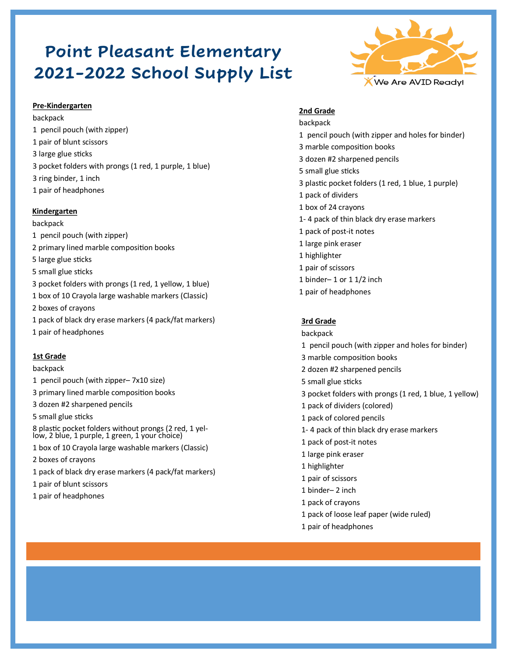# **Point Pleasant Elementary 2021-2022 School Supply List**



backpack 1 pencil pouch (with zipper) 1 pair of blunt scissors 3 large glue sticks 3 pocket folders with prongs (1 red, 1 purple, 1 blue) 3 ring binder, 1 inch 1 pair of headphones

## **Kindergarten**

backpack 1 pencil pouch (with zipper) 2 primary lined marble composition books 5 large glue sticks 5 small glue sticks 3 pocket folders with prongs (1 red, 1 yellow, 1 blue) 1 box of 10 Crayola large washable markers (Classic) 2 boxes of crayons 1 pack of black dry erase markers (4 pack/fat markers) 1 pair of headphones

## **1st Grade**

backpack

- 1 pencil pouch (with zipper– 7x10 size) 3 primary lined marble composition books 3 dozen #2 sharpened pencils
- 5 small glue sticks

8 plastic pocket folders without prongs (2 red, 1 yellow, 2 blue, 1 purple, 1 green, 1 your choice)

- 1 box of 10 Crayola large washable markers (Classic)
- 2 boxes of crayons
- 1 pack of black dry erase markers (4 pack/fat markers)
- 1 pair of blunt scissors
- 1 pair of headphones



## **2nd Grade**

backpack 1 pencil pouch (with zipper and holes for binder) 3 marble composition books 3 dozen #2 sharpened pencils 5 small glue sticks 3 plastic pocket folders (1 red, 1 blue, 1 purple) 1 pack of dividers 1 box of 24 crayons 1- 4 pack of thin black dry erase markers 1 pack of post-it notes 1 large pink eraser 1 highlighter 1 pair of scissors 1 binder– 1 or 1 1/2 inch 1 pair of headphones

## **3rd Grade**

backpack 1 pencil pouch (with zipper and holes for binder) 3 marble composition books 2 dozen #2 sharpened pencils 5 small glue sticks 3 pocket folders with prongs (1 red, 1 blue, 1 yellow) 1 pack of dividers (colored) 1 pack of colored pencils 1- 4 pack of thin black dry erase markers 1 pack of post-it notes 1 large pink eraser 1 highlighter 1 pair of scissors 1 binder– 2 inch 1 pack of crayons 1 pack of loose leaf paper (wide ruled) 1 pair of headphones